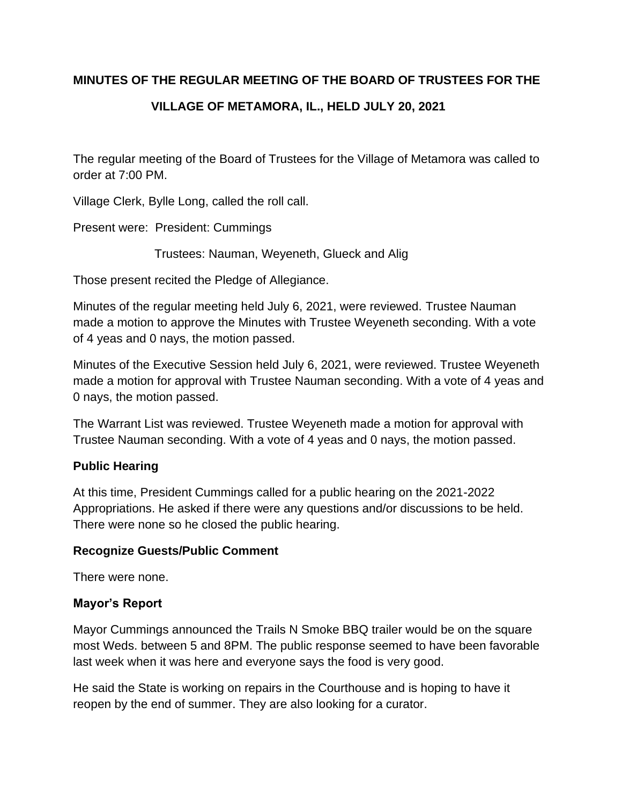## **MINUTES OF THE REGULAR MEETING OF THE BOARD OF TRUSTEES FOR THE**

# **VILLAGE OF METAMORA, IL., HELD JULY 20, 2021**

The regular meeting of the Board of Trustees for the Village of Metamora was called to order at 7:00 PM.

Village Clerk, Bylle Long, called the roll call.

Present were: President: Cummings

Trustees: Nauman, Weyeneth, Glueck and Alig

Those present recited the Pledge of Allegiance.

Minutes of the regular meeting held July 6, 2021, were reviewed. Trustee Nauman made a motion to approve the Minutes with Trustee Weyeneth seconding. With a vote of 4 yeas and 0 nays, the motion passed.

Minutes of the Executive Session held July 6, 2021, were reviewed. Trustee Weyeneth made a motion for approval with Trustee Nauman seconding. With a vote of 4 yeas and 0 nays, the motion passed.

The Warrant List was reviewed. Trustee Weyeneth made a motion for approval with Trustee Nauman seconding. With a vote of 4 yeas and 0 nays, the motion passed.

## **Public Hearing**

At this time, President Cummings called for a public hearing on the 2021-2022 Appropriations. He asked if there were any questions and/or discussions to be held. There were none so he closed the public hearing.

### **Recognize Guests/Public Comment**

There were none.

### **Mayor's Report**

Mayor Cummings announced the Trails N Smoke BBQ trailer would be on the square most Weds. between 5 and 8PM. The public response seemed to have been favorable last week when it was here and everyone says the food is very good.

He said the State is working on repairs in the Courthouse and is hoping to have it reopen by the end of summer. They are also looking for a curator.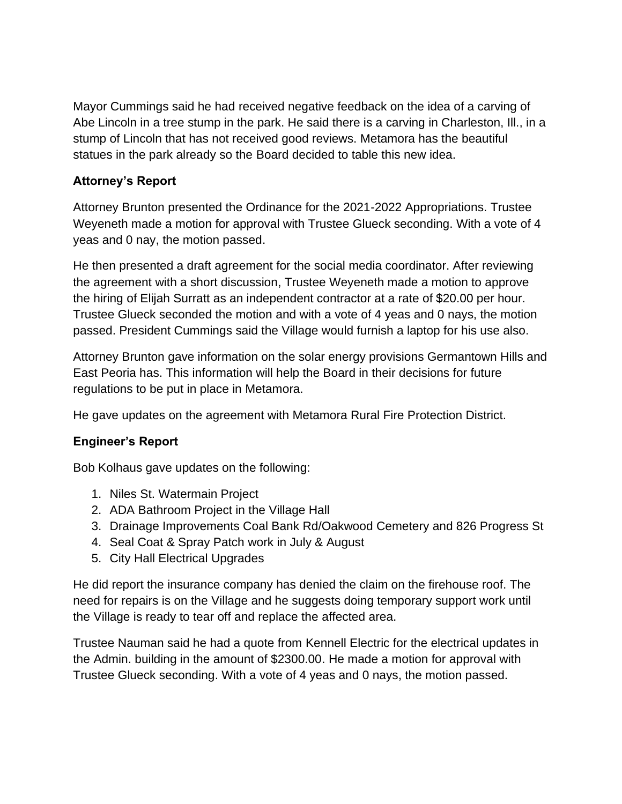Mayor Cummings said he had received negative feedback on the idea of a carving of Abe Lincoln in a tree stump in the park. He said there is a carving in Charleston, Ill., in a stump of Lincoln that has not received good reviews. Metamora has the beautiful statues in the park already so the Board decided to table this new idea.

## **Attorney's Report**

Attorney Brunton presented the Ordinance for the 2021-2022 Appropriations. Trustee Weyeneth made a motion for approval with Trustee Glueck seconding. With a vote of 4 yeas and 0 nay, the motion passed.

He then presented a draft agreement for the social media coordinator. After reviewing the agreement with a short discussion, Trustee Weyeneth made a motion to approve the hiring of Elijah Surratt as an independent contractor at a rate of \$20.00 per hour. Trustee Glueck seconded the motion and with a vote of 4 yeas and 0 nays, the motion passed. President Cummings said the Village would furnish a laptop for his use also.

Attorney Brunton gave information on the solar energy provisions Germantown Hills and East Peoria has. This information will help the Board in their decisions for future regulations to be put in place in Metamora.

He gave updates on the agreement with Metamora Rural Fire Protection District.

## **Engineer's Report**

Bob Kolhaus gave updates on the following:

- 1. Niles St. Watermain Project
- 2. ADA Bathroom Project in the Village Hall
- 3. Drainage Improvements Coal Bank Rd/Oakwood Cemetery and 826 Progress St
- 4. Seal Coat & Spray Patch work in July & August
- 5. City Hall Electrical Upgrades

He did report the insurance company has denied the claim on the firehouse roof. The need for repairs is on the Village and he suggests doing temporary support work until the Village is ready to tear off and replace the affected area.

Trustee Nauman said he had a quote from Kennell Electric for the electrical updates in the Admin. building in the amount of \$2300.00. He made a motion for approval with Trustee Glueck seconding. With a vote of 4 yeas and 0 nays, the motion passed.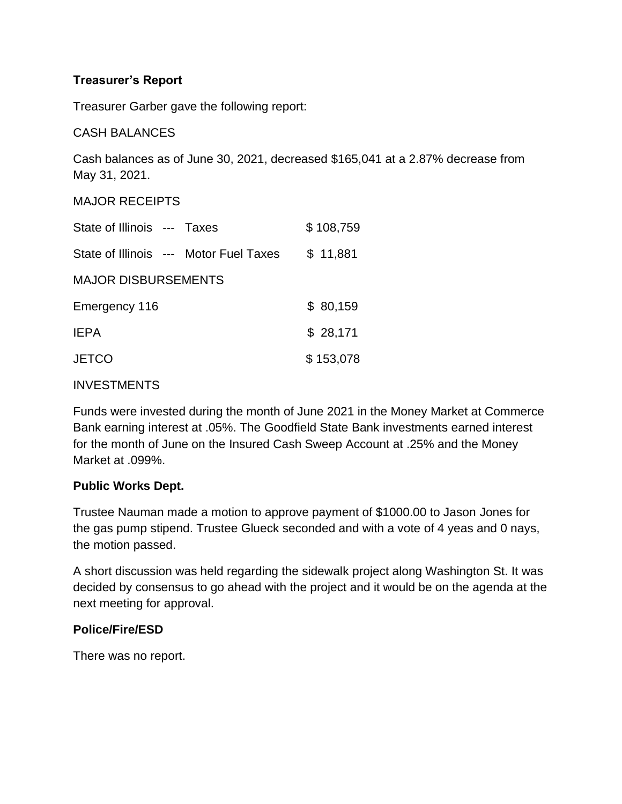## **Treasurer's Report**

Treasurer Garber gave the following report:

CASH BALANCES

Cash balances as of June 30, 2021, decreased \$165,041 at a 2.87% decrease from May 31, 2021.

MAJOR RECEIPTS

| State of Illinois --- Taxes            |  |  | \$108,759 |
|----------------------------------------|--|--|-----------|
| State of Illinois --- Motor Fuel Taxes |  |  | \$11,881  |
| <b>MAJOR DISBURSEMENTS</b>             |  |  |           |
| Emergency 116                          |  |  | \$80,159  |
| <b>IEPA</b>                            |  |  | \$28,171  |
| <b>JETCO</b>                           |  |  | \$153,078 |
|                                        |  |  |           |

### **INVESTMENTS**

Funds were invested during the month of June 2021 in the Money Market at Commerce Bank earning interest at .05%. The Goodfield State Bank investments earned interest for the month of June on the Insured Cash Sweep Account at .25% and the Money Market at .099%.

### **Public Works Dept.**

Trustee Nauman made a motion to approve payment of \$1000.00 to Jason Jones for the gas pump stipend. Trustee Glueck seconded and with a vote of 4 yeas and 0 nays, the motion passed.

A short discussion was held regarding the sidewalk project along Washington St. It was decided by consensus to go ahead with the project and it would be on the agenda at the next meeting for approval.

### **Police/Fire/ESD**

There was no report.